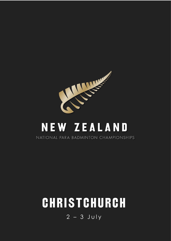

## NEW ZEALAND NATIONAL PARA BADMINTON CHAMPIONSHIPS

# CHRISTCHURCH

 $2 - 3$  July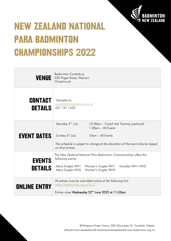

## **NEW ZEALAND NATIONAL PARA BADMINTON CHAMPIONSHIPS 2022**

| <b>VENUE</b>                     | <b>Badminton Canterbury</b><br>220 Pages Road, Wainoni<br>Christchurch                                                                                        |  |  |  |
|----------------------------------|---------------------------------------------------------------------------------------------------------------------------------------------------------------|--|--|--|
| <b>CONTACT</b><br><b>DETAILS</b> | Michelle Au<br>michelle@badminton.org.nz<br>021 191 1625                                                                                                      |  |  |  |
| <b>EVENT DATES</b>               | Saturday 2 <sup>nd</sup> July<br>12:30pm - Coach-led Training (optional)<br>1:30pm - All Events<br>Sunday 3rd July<br>10am - All Events                       |  |  |  |
|                                  | The schedule is subject to change at the discretion of the event director based<br>on final entries.                                                          |  |  |  |
| <b>EVENTS</b>                    | The New Zealand National Para Badminton Championships offers the<br>following events:                                                                         |  |  |  |
| <b>DETAILS</b>                   | Doubles WH1-WH2<br>Mens Singles WH1<br>Women's Singles WH1<br>Mens Singles WH2<br>Women's Singles WH2                                                         |  |  |  |
| <b>ONLINE ENTRY</b>              | All entries must be submitted online at the following link:<br>https://badminton.org.nz/b/cZ<br>Entries close Wednesday 22 <sup>nd</sup> June 2022 at 11:59pm |  |  |  |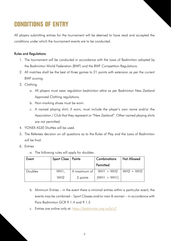## **CONDITIONS OF ENTRY**

All players submitting entries for the tournament will be deemed to have read and accepted the conditions under which the tournament events are to be conducted.

### Rules and Regulations

- 1. The tournament will be conducted in accordance with the Laws of Badminton adopted by the Badminton World Federation (BWF) and the BWF Competition Regulations.
- 2. All matches shall be the best of three games to 21 points with extension as per the current BWF scoring.
- 3. Clothing
	- a. All players must wear regulation badminton attire as per Badminton New Zealand Approved Clothing regulations.
	- b. Non-marking shoes must be worn.
	- c. A named playing shirt, if worn, must include the player's own name and/or the Association / Club that they represent or "New Zealand". Other named playing shirts are not permitted.
- 4. YONEX AS30 Shuttles will be used.
- 5. The Referees decision on all questions as to the Rules of Play and the Laws of Badminton will be final.
- 6. Entries
	- a. The following rules will apply for doubles:

| Event   | Sport Class   Points |              | Combinations  | Not Allowed |
|---------|----------------------|--------------|---------------|-------------|
|         |                      |              | Permitted     |             |
| Doubles | WH1,                 | A maximum of | $WH1 + WH2$   | $WH2 + WH2$ |
|         | WH <sub>2</sub>      | 3 points     | $(WH1 + WH1)$ |             |

- b. Minimum Entries in the event there a minimal entries within a particular event, the events may be combined – Sport Classes and/or men & women – in accordance with Para Badminton GCR 9.1.4 and 9.1.5
- c. Entries are online only at:<https://badminton.org.nz/b/cZ>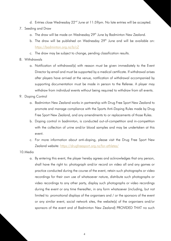- d. Entries close Wednesday 22<sup>nd</sup> June at 11:59pm. No late entries will be accepted.
- 7. Seeding and Draw
	- a. The draw will be made on Wednesday 29<sup>th</sup> June by Badminton New Zealand.
	- b. The draw will be published on Wednesday  $29<sup>th</sup>$  June and will be available on: <https://badminton.org.nz/b/cZ>
	- c. The draw may be subject to change, pending classification results.
- 8. Withdrawals
	- a. Notification of withdrawal(s) with reason must be given immediately to the Event Director by email and must be supported by a medical certificate. If withdrawal arises after players have arrived at the venue, notification of withdrawal accompanied by supporting documentation must be made in person to the Referee. A player may withdraw from individual events without being required to withdraw from all events.
- 9. Doping Control
	- a. Badminton New Zealand works in partnership with Drug Free Sport New Zealand to promote and manage compliance with the Sports Anti-Doping Rules made by Drug Free Sport New Zealand, and any amendments to or replacements of those Rules.
	- b. Doping control in badminton, is conducted out-of-competition and in-competition with the collection of urine and/or blood samples and may be undertaken at this event.
	- c. For more information about anti-doping, please visit the Drug Free Sport New Zealand website: <https://drugfreesport.org.nz/for-athletes/>
- 10.Media
	- a. By entering this event, the player hereby agrees and acknowledges that any person, shall have the right to: photograph and/or record on video all and any games or practice conducted during the course of the event, retain such photographs or video recordings for their own use of whatsoever nature, distribute such photographs or video recordings to any other party, display such photographs or video recordings during the event or any time thereafter, in any form whatsoever (including, but not limited to: promotional displays of the organisers and / or the sponsors of the event or any similar event, social network sites, the website(s) of the organisers and/or sponsors of the event and of Badminton New Zealand) PROVIDED THAT no such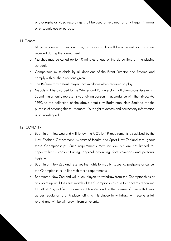photographs or video recordings shall be used or retained for any illegal, immoral or unseemly use or purpose."

#### 11.General

- a. All players enter at their own risk; no responsibility will be accepted for any injury received during the tournament.
- b. Matches may be called up to 10 minutes ahead of the stated time on the playing schedule.
- c. Competitors must abide by all decisions of the Event Director and Referee and comply with all the directions given.
- d. The Referee may default players not available when required to play.
- e. Medals will be awarded to the Winner and Runners-Up in all championship events.
- f. Submitting an entry represents your giving consent in accordance with the Privacy Act 1993 to the collection of the above details by Badminton New Zealand for the purpose of entering this tournament. Your right to access and correct any information is acknowledged.

#### 12. COVID-19

- a. Badminton New Zealand will follow the COVID-19 requirements as advised by the New Zealand Government, Ministry of Health and Sport New Zealand throughout these Championships. Such requirements may include, but are not limited to: capacity limits, contact tracing, physical distancing, face coverings and personal hygiene.
- b. Badminton New Zealand reserves the rights to modify, suspend, postpone or cancel the Championships in line with these requirements.
- c. Badminton New Zealand will allow players to withdraw from the Championships at any point up until their first match of the Championships due to concerns regarding COVID-19 by notifying Badminton New Zealand or the referee of their withdrawal as per regulation 8.a. A player utilising this clause to withdraw will receive a full refund and will be withdrawn from all events.